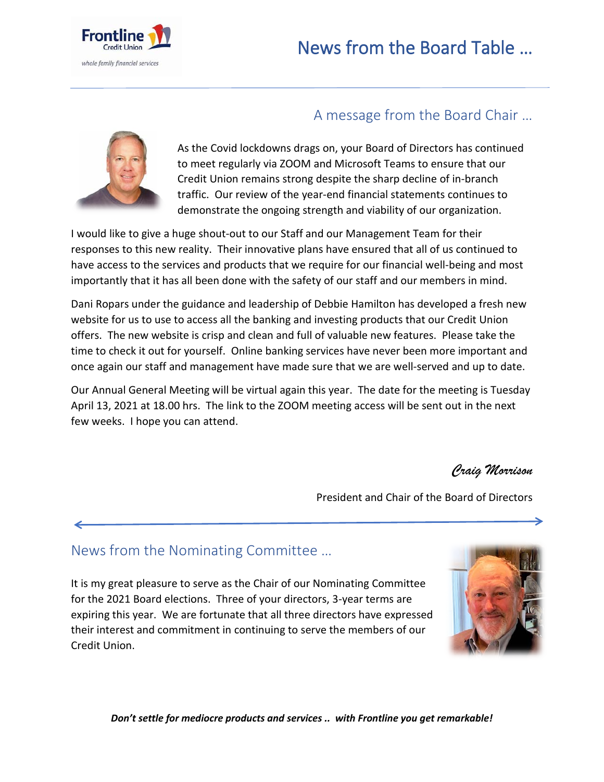# News from the Board Table …



## A message from the Board Chair …



As the Covid lockdowns drags on, your Board of Directors has continued to meet regularly via ZOOM and Microsoft Teams to ensure that our Credit Union remains strong despite the sharp decline of in-branch traffic. Our review of the year-end financial statements continues to demonstrate the ongoing strength and viability of our organization.

I would like to give a huge shout-out to our Staff and our Management Team for their responses to this new reality. Their innovative plans have ensured that all of us continued to have access to the services and products that we require for our financial well-being and most importantly that it has all been done with the safety of our staff and our members in mind.

Dani Ropars under the guidance and leadership of Debbie Hamilton has developed a fresh new website for us to use to access all the banking and investing products that our Credit Union offers. The new website is crisp and clean and full of valuable new features. Please take the time to check it out for yourself. Online banking services have never been more important and once again our staff and management have made sure that we are well-served and up to date.

Our Annual General Meeting will be virtual again this year. The date for the meeting is Tuesday April 13, 2021 at 18.00 hrs. The link to the ZOOM meeting access will be sent out in the next few weeks. I hope you can attend.

*Craig Morrison*

President and Chair of the Board of Directors

### News from the Nominating Committee …

It is my great pleasure to serve as the Chair of our Nominating Committee for the 2021 Board elections. Three of your directors, 3-year terms are expiring this year. We are fortunate that all three directors have expressed their interest and commitment in continuing to serve the members of our Credit Union.



*Don't settle for mediocre products and services .. with Frontline you get remarkable!*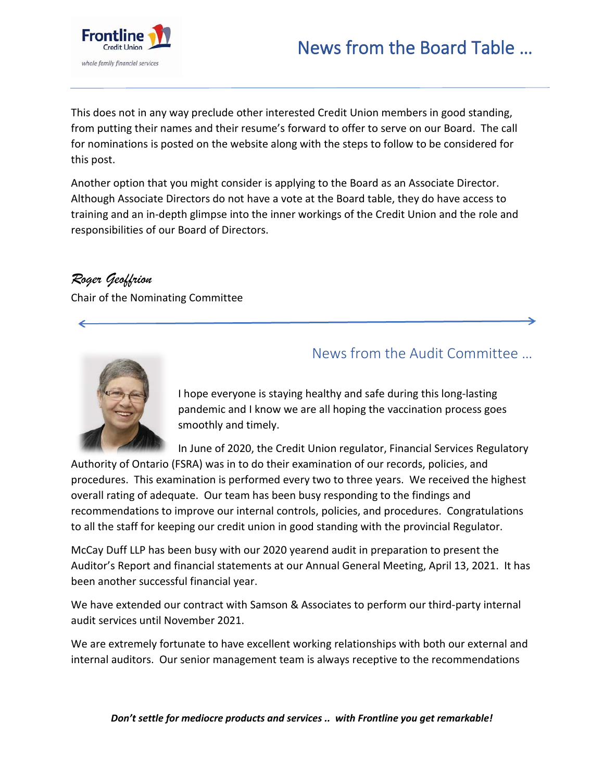



This does not in any way preclude other interested Credit Union members in good standing, from putting their names and their resume's forward to offer to serve on our Board. The call for nominations is posted on the website along with the steps to follow to be considered for this post.

Another option that you might consider is applying to the Board as an Associate Director. Although Associate Directors do not have a vote at the Board table, they do have access to training and an in-depth glimpse into the inner workings of the Credit Union and the role and responsibilities of our Board of Directors.

## *Roger Geoffrion*

Chair of the Nominating Committee

### News from the Audit Committee …

I hope everyone is staying healthy and safe during this long-lasting pandemic and I know we are all hoping the vaccination process goes smoothly and timely.

In June of 2020, the Credit Union regulator, Financial Services Regulatory

Authority of Ontario (FSRA) was in to do their examination of our records, policies, and procedures. This examination is performed every two to three years. We received the highest overall rating of adequate. Our team has been busy responding to the findings and recommendations to improve our internal controls, policies, and procedures. Congratulations to all the staff for keeping our credit union in good standing with the provincial Regulator.

McCay Duff LLP has been busy with our 2020 yearend audit in preparation to present the Auditor's Report and financial statements at our Annual General Meeting, April 13, 2021. It has been another successful financial year.

We have extended our contract with Samson & Associates to perform our third-party internal audit services until November 2021.

We are extremely fortunate to have excellent working relationships with both our external and internal auditors. Our senior management team is always receptive to the recommendations

*Don't settle for mediocre products and services .. with Frontline you get remarkable!*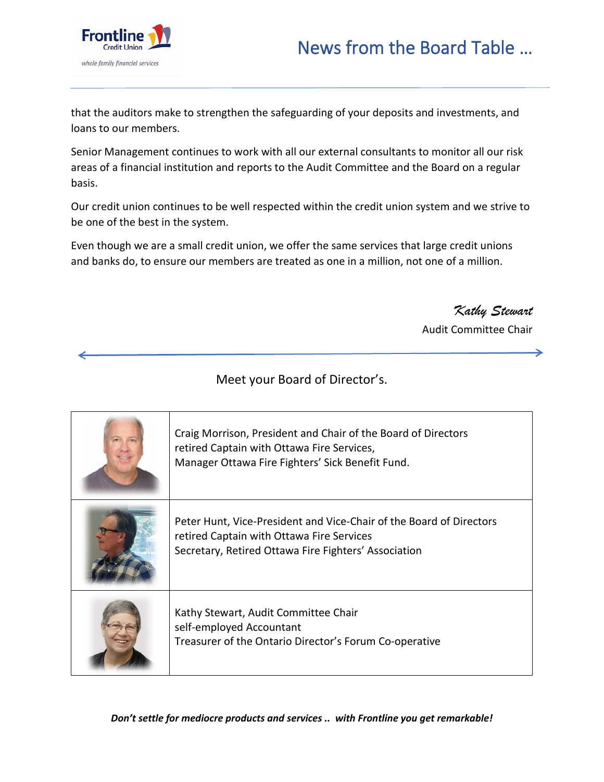



that the auditors make to strengthen the safeguarding of your deposits and investments, and loans to our members.

Senior Management continues to work with all our external consultants to monitor all our risk areas of a financial institution and reports to the Audit Committee and the Board on a regular basis.

Our credit union continues to be well respected within the credit union system and we strive to be one of the best in the system.

Even though we are a small credit union, we offer the same services that large credit unions and banks do, to ensure our members are treated as one in a million, not one of a million.

*Kathy Stewart*

Audit Committee Chair

### Meet your Board of Director's.

| Craig Morrison, President and Chair of the Board of Directors<br>retired Captain with Ottawa Fire Services,<br>Manager Ottawa Fire Fighters' Sick Benefit Fund.          |
|--------------------------------------------------------------------------------------------------------------------------------------------------------------------------|
| Peter Hunt, Vice-President and Vice-Chair of the Board of Directors<br>retired Captain with Ottawa Fire Services<br>Secretary, Retired Ottawa Fire Fighters' Association |
| Kathy Stewart, Audit Committee Chair<br>self-employed Accountant<br>Treasurer of the Ontario Director's Forum Co-operative                                               |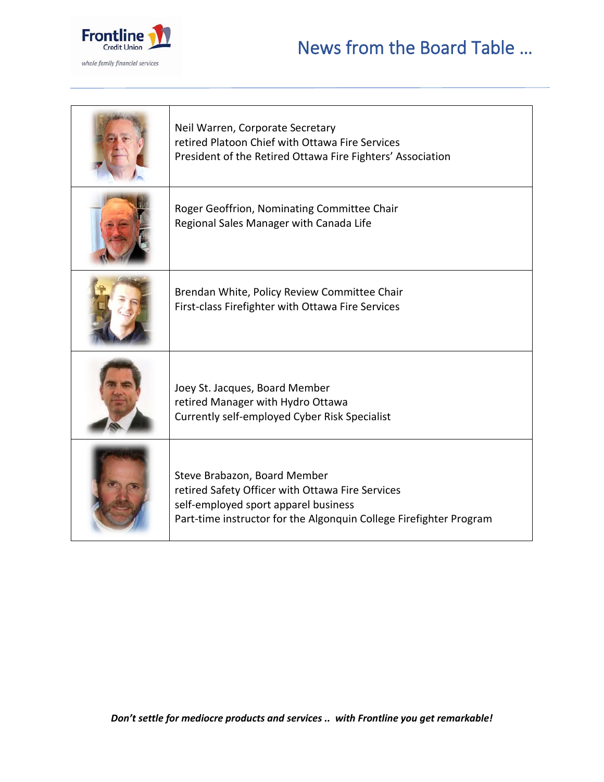

# News from the Board Table …

 $\overline{\mathbf{1}}$ 

| Neil Warren, Corporate Secretary<br>retired Platoon Chief with Ottawa Fire Services<br>President of the Retired Ottawa Fire Fighters' Association                                              |
|------------------------------------------------------------------------------------------------------------------------------------------------------------------------------------------------|
| Roger Geoffrion, Nominating Committee Chair<br>Regional Sales Manager with Canada Life                                                                                                         |
| Brendan White, Policy Review Committee Chair<br>First-class Firefighter with Ottawa Fire Services                                                                                              |
| Joey St. Jacques, Board Member<br>retired Manager with Hydro Ottawa<br>Currently self-employed Cyber Risk Specialist                                                                           |
| Steve Brabazon, Board Member<br>retired Safety Officer with Ottawa Fire Services<br>self-employed sport apparel business<br>Part-time instructor for the Algonquin College Firefighter Program |